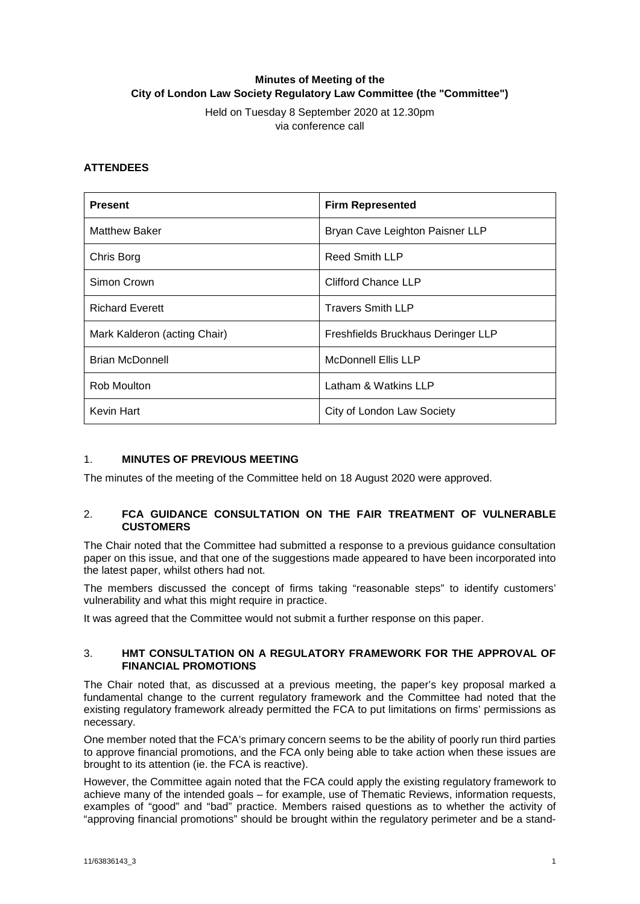# **Minutes of Meeting of the City of London Law Society Regulatory Law Committee (the "Committee")**

Held on Tuesday 8 September 2020 at 12.30pm via conference call

## **ATTENDEES**

| <b>Present</b>               | <b>Firm Represented</b>            |
|------------------------------|------------------------------------|
| <b>Matthew Baker</b>         | Bryan Cave Leighton Paisner LLP    |
| Chris Borg                   | <b>Reed Smith LLP</b>              |
| Simon Crown                  | Clifford Chance LLP                |
| <b>Richard Everett</b>       | <b>Travers Smith LLP</b>           |
| Mark Kalderon (acting Chair) | Freshfields Bruckhaus Deringer LLP |
| <b>Brian McDonnell</b>       | <b>McDonnell Ellis LLP</b>         |
| Rob Moulton                  | Latham & Watkins LLP               |
| Kevin Hart                   | City of London Law Society         |

## 1. **MINUTES OF PREVIOUS MEETING**

The minutes of the meeting of the Committee held on 18 August 2020 were approved.

## 2. **FCA GUIDANCE CONSULTATION ON THE FAIR TREATMENT OF VULNERABLE CUSTOMERS**

The Chair noted that the Committee had submitted a response to a previous guidance consultation paper on this issue, and that one of the suggestions made appeared to have been incorporated into the latest paper, whilst others had not.

The members discussed the concept of firms taking "reasonable steps" to identify customers' vulnerability and what this might require in practice.

It was agreed that the Committee would not submit a further response on this paper.

### 3. **HMT CONSULTATION ON A REGULATORY FRAMEWORK FOR THE APPROVAL OF FINANCIAL PROMOTIONS**

The Chair noted that, as discussed at a previous meeting, the paper's key proposal marked a fundamental change to the current regulatory framework and the Committee had noted that the existing regulatory framework already permitted the FCA to put limitations on firms' permissions as necessary.

One member noted that the FCA's primary concern seems to be the ability of poorly run third parties to approve financial promotions, and the FCA only being able to take action when these issues are brought to its attention (ie. the FCA is reactive).

However, the Committee again noted that the FCA could apply the existing regulatory framework to achieve many of the intended goals – for example, use of Thematic Reviews, information requests, examples of "good" and "bad" practice. Members raised questions as to whether the activity of "approving financial promotions" should be brought within the regulatory perimeter and be a stand